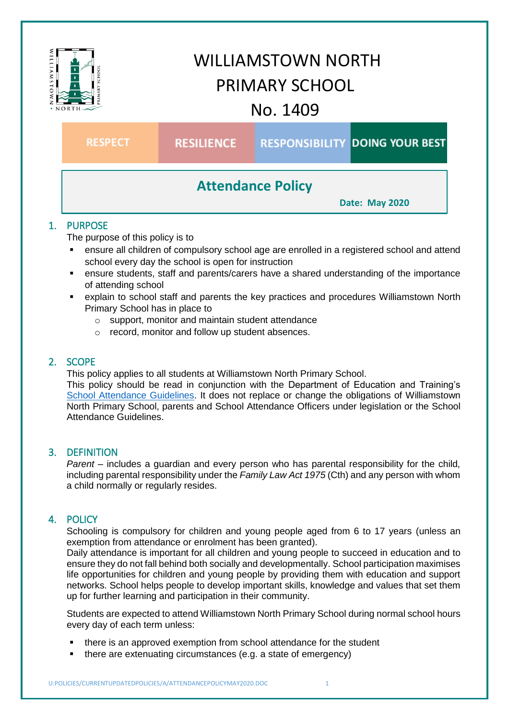

# WILLIAMSTOWN NORTH PRIMARY SCHOOL No. 1409

**RESPECT** 

**RESILIENCE** 

**RESPONSIBILITY DOING YOUR BEST** 

# **Attendance Policy**

**Date: May 2020**

# 1. PURPOSE

The purpose of this policy is to

- ensure all children of compulsory school age are enrolled in a registered school and attend school every day the school is open for instruction
- ensure students, staff and parents/carers have a shared understanding of the importance of attending school
- explain to school staff and parents the key practices and procedures Williamstown North Primary School has in place to
	- o support, monitor and maintain student attendance
	- o record, monitor and follow up student absences.

## 2. SCOPE

This policy applies to all students at Williamstown North Primary School.

This policy should be read in conjunction with the Department of Education and Training's [School Attendance Guidelines.](https://www.education.vic.gov.au/school/teachers/studentmanagement/attendance/Pages/default.aspx) It does not replace or change the obligations of Williamstown North Primary School, parents and School Attendance Officers under legislation or the School Attendance Guidelines.

### 3. DEFINITION

*Parent* – includes a guardian and every person who has parental responsibility for the child, including parental responsibility under the *Family Law Act 1975* (Cth) and any person with whom a child normally or regularly resides.

# 4. POLICY

Schooling is compulsory for children and young people aged from 6 to 17 years (unless an exemption from attendance or enrolment has been granted).

Daily attendance is important for all children and young people to succeed in education and to ensure they do not fall behind both socially and developmentally. School participation maximises life opportunities for children and young people by providing them with education and support networks. School helps people to develop important skills, knowledge and values that set them up for further learning and participation in their community.

Students are expected to attend Williamstown North Primary School during normal school hours every day of each term unless:

- there is an approved exemption from school attendance for the student
- there are extenuating circumstances (e.g. a state of emergency)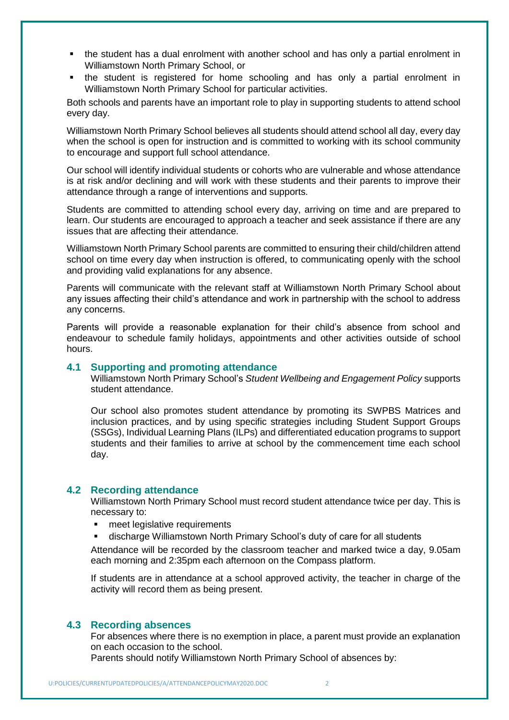- the student has a dual enrolment with another school and has only a partial enrolment in Williamstown North Primary School, or
- the student is registered for home schooling and has only a partial enrolment in Williamstown North Primary School for particular activities.

Both schools and parents have an important role to play in supporting students to attend school every day.

Williamstown North Primary School believes all students should attend school all day, every day when the school is open for instruction and is committed to working with its school community to encourage and support full school attendance.

Our school will identify individual students or cohorts who are vulnerable and whose attendance is at risk and/or declining and will work with these students and their parents to improve their attendance through a range of interventions and supports.

Students are committed to attending school every day, arriving on time and are prepared to learn. Our students are encouraged to approach a teacher and seek assistance if there are any issues that are affecting their attendance.

Williamstown North Primary School parents are committed to ensuring their child/children attend school on time every day when instruction is offered, to communicating openly with the school and providing valid explanations for any absence.

Parents will communicate with the relevant staff at Williamstown North Primary School about any issues affecting their child's attendance and work in partnership with the school to address any concerns.

Parents will provide a reasonable explanation for their child's absence from school and endeavour to schedule family holidays, appointments and other activities outside of school hours.

#### **4.1 Supporting and promoting attendance**

Williamstown North Primary School's *Student Wellbeing and Engagement Policy* supports student attendance.

Our school also promotes student attendance by promoting its SWPBS Matrices and inclusion practices, and by using specific strategies including Student Support Groups (SSGs), Individual Learning Plans (ILPs) and differentiated education programs to support students and their families to arrive at school by the commencement time each school day.

#### **4.2 Recording attendance**

Williamstown North Primary School must record student attendance twice per day. This is necessary to:

- meet legislative requirements
- discharge Williamstown North Primary School's duty of care for all students

Attendance will be recorded by the classroom teacher and marked twice a day, 9.05am each morning and 2:35pm each afternoon on the Compass platform.

If students are in attendance at a school approved activity, the teacher in charge of the activity will record them as being present.

#### **4.3 Recording absences**

For absences where there is no exemption in place, a parent must provide an explanation on each occasion to the school.

Parents should notify Williamstown North Primary School of absences by: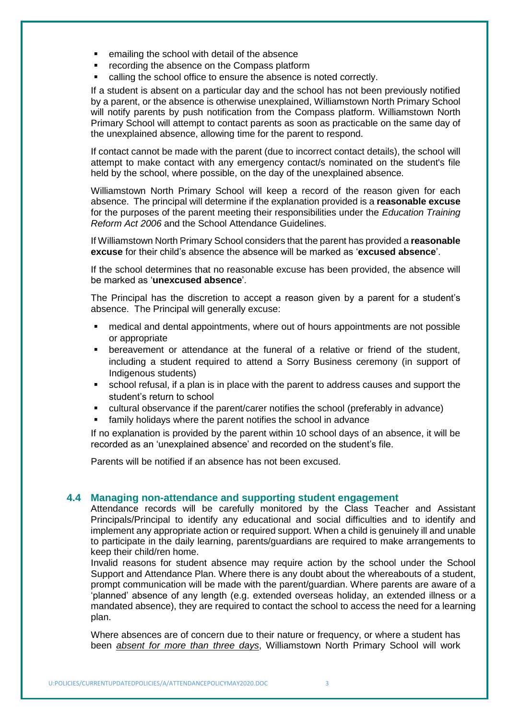- **EXEC** emailing the school with detail of the absence
- recording the absence on the Compass platform
- calling the school office to ensure the absence is noted correctly.

If a student is absent on a particular day and the school has not been previously notified by a parent, or the absence is otherwise unexplained, Williamstown North Primary School will notify parents by push notification from the Compass platform. Williamstown North Primary School will attempt to contact parents as soon as practicable on the same day of the unexplained absence, allowing time for the parent to respond.

If contact cannot be made with the parent (due to incorrect contact details), the school will attempt to make contact with any emergency contact/s nominated on the student's file held by the school, where possible, on the day of the unexplained absence.

Williamstown North Primary School will keep a record of the reason given for each absence. The principal will determine if the explanation provided is a **reasonable excuse** for the purposes of the parent meeting their responsibilities under the *Education Training Reform Act 2006* and the School Attendance Guidelines.

If Williamstown North Primary School considers that the parent has provided a **reasonable excuse** for their child's absence the absence will be marked as '**excused absence**'.

If the school determines that no reasonable excuse has been provided, the absence will be marked as '**unexcused absence**'.

The Principal has the discretion to accept a reason given by a parent for a student's absence. The Principal will generally excuse:

- medical and dental appointments, where out of hours appointments are not possible or appropriate
- bereavement or attendance at the funeral of a relative or friend of the student, including a student required to attend a Sorry Business ceremony (in support of Indigenous students)
- school refusal, if a plan is in place with the parent to address causes and support the student's return to school
- cultural observance if the parent/carer notifies the school (preferably in advance)
- family holidays where the parent notifies the school in advance

If no explanation is provided by the parent within 10 school days of an absence, it will be recorded as an 'unexplained absence' and recorded on the student's file.

Parents will be notified if an absence has not been excused.

#### **4.4 Managing non-attendance and supporting student engagement**

Attendance records will be carefully monitored by the Class Teacher and Assistant Principals/Principal to identify any educational and social difficulties and to identify and implement any appropriate action or required support. When a child is genuinely ill and unable to participate in the daily learning, parents/guardians are required to make arrangements to keep their child/ren home.

Invalid reasons for student absence may require action by the school under the School Support and Attendance Plan. Where there is any doubt about the whereabouts of a student, prompt communication will be made with the parent/guardian. Where parents are aware of a 'planned' absence of any length (e.g. extended overseas holiday, an extended illness or a mandated absence), they are required to contact the school to access the need for a learning plan.

Where absences are of concern due to their nature or frequency, or where a student has been *absent for more than three days*, Williamstown North Primary School will work